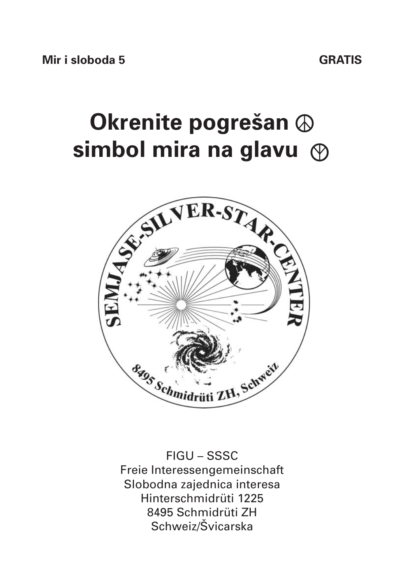# **Okrenite pogrešan ☮ simbol mira na glavu ☮**



FIGU – SSSC Freie Interessengemeinschaft Slobodna zajednica interesa Hinterschmidrüti 1225 8495 Schmidrüti ZH Schweiz/Švicarska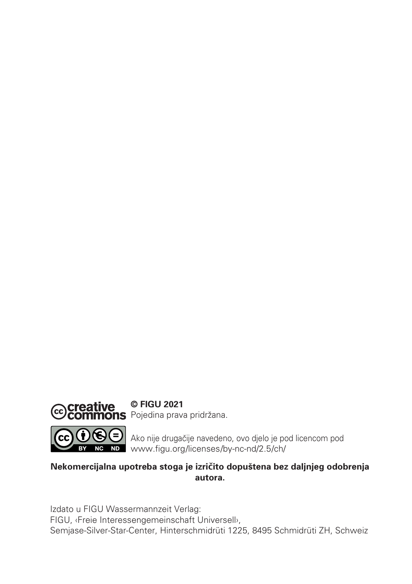

**© FIGU 2021 mons** Pojedina prava pridržana.

Ako nije drugačije navedeno, ovo djelo je pod licencom pod www.figu.org/licenses/by-nc-nd/2.5/ch/

#### **Nekomercijalna upotreba stoga je izričito dopuštena bez daljnjeg odobrenja autora.**

Izdato u FIGU Wassermannzeit Verlag: FIGU, ‹Freie Interessengemeinschaft Universell›, Semjase-Silver-Star-Center, Hinterschmidrüti 1225, 8495 Schmidrüti ZH, Schweiz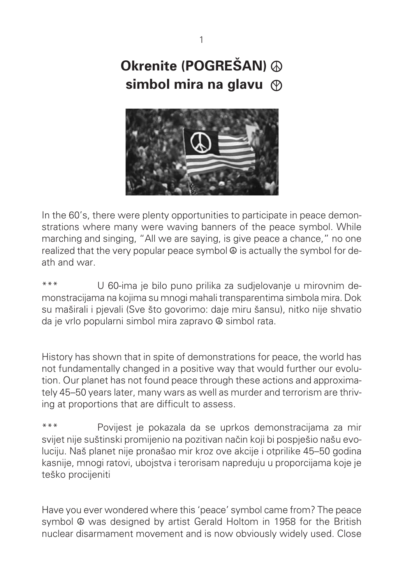**Okrenite (POGREŠAN) ☮ simbol mira na glavu ☮**



In the 60's, there were plenty opportunities to participate in peace demonstrations where many were waving banners of the peace symbol. While marching and singing, "All we are saying, is give peace a chance," no one realized that the very popular peace symbol **☮** is actually the symbol for death and war.

\*\*\* U 60-ima je bilo puno prilika za sudjelovanje u mirovnim demonstracijama na kojima su mnogi mahali transparentima simbola mira. Dok su maširali i pjevali (Sve što govorimo: daje miru šansu), nitko nije shvatio da je vrlo popularni simbol mira zapravo **☮** simbol rata.

History has shown that in spite of demonstrations for peace, the world has not fundamentally changed in a positive way that would further our evolution. Our planet has not found peace through these actions and approximately 45–50 years later, many wars as well as murder and terrorism are thriv ing at proportions that are difficult to assess.

\*\*\* Povijest je pokazala da se uprkos demonstracijama za mir svijet nije suštinski promijenio na pozitivan način koji bi pospješio našu evoluciju. Naš planet nije pronašao mir kroz ove akcije i otprilike 45–50 godina kasnije, mnogi ratovi, ubojstva i terorisam napreduju u proporcijama koje je teško procijeniti

Have you ever wondered where this 'peace' symbol came from? The peace symbol **☮** was designed by artist Gerald Holtom in 1958 for the British nuclear disarmament movement and is now obviously widely used. Close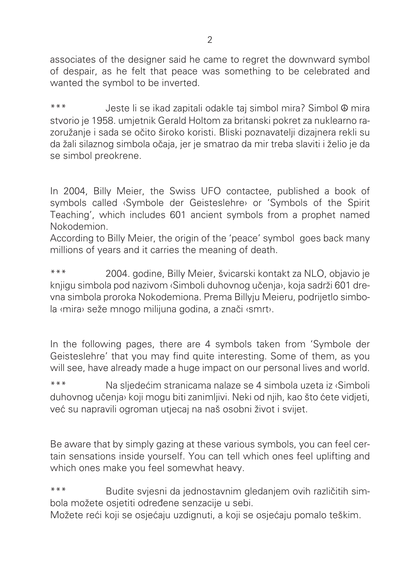associates of the designer said he came to regret the downward symbol of despair, as he felt that peace was something to be celebrated and wanted the symbol to be inverted.

\*\*\* Jeste li se ikad zapitali odakle taj simbol mira? Simbol **☮** mira stvorio je 1958. umjetnik Gerald Holtom za britanski pokret za nuklearno razoružanje i sada se očito široko koristi. Bliski poznavatelji dizajnera rekli su da žali silaznog simbola očaja, jer je smatrao da mir treba slaviti i želio je da se simbol preokrene.

In 2004, Billy Meier, the Swiss UFO contactee, published a book of symbols called ‹Symbole der Geisteslehre› or 'Symbols of the Spirit Teaching', which includes 601 ancient symbols from a prophet named Nokodemion.

According to Billy Meier, the origin of the 'peace' symbol goes back many millions of years and it carries the meaning of death.

\*\*\* 2004. godine, Billy Meier, švicarski kontakt za NLO, objavio je knjigu simbola pod nazivom ‹Simboli duhovnog učenja›, koja sadrži 601 drevna simbola proroka Nokodemiona. Prema Billyju Meieru, podrijetlo simbola «mira» seže mnogo milijuna godina, a znači «smrt».

In the following pages, there are 4 symbols taken from 'Symbole der Geisteslehre' that you may find quite interesting. Some of them, as you will see, have already made a huge impact on our personal lives and world.

\*\*\* Na sljedec´im stranicama nalaze se 4 simbola uzeta iz ‹Simboli duhovnog učenja» koji mogu biti zanimljivi. Neki od njih, kao što ćete vidjeti, vec´ su napravili ogroman utjecaj na naš osobni život i svijet.

Be aware that by simply gazing at these various symbols, you can feel certain sensations inside yourself. You can tell which ones feel uplifting and which ones make you feel somewhat heavy.

\*\*\* Budite svjesni da jednostavnim gledanjem ovih različitih simbola možete osjetiti određene senzacije u sebi.

Možete reći koji se osjećaju uzdignuti, a koji se osjećaju pomalo teškim.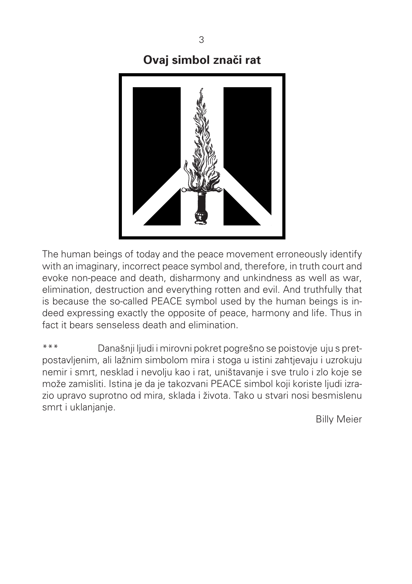### **Ovaj simbol znači rat**



The human beings of today and the peace movement erroneously identify with an imaginary, incorrect peace symbol and, therefore, in truth court and evoke non-peace and death, disharmony and unkindness as well as war, elimination, destruction and everything rotten and evil. And truthfully that is because the so-called PEACE symbol used by the human beings is indeed expressing exactly the opposite of peace, harmony and life. Thus in fact it bears senseless death and elimination.

\*\*\* Današnji ljudi i mirovni pokret pogrešno se poistovje uju s pretpostavljenim, ali lažnim simbolom mira i stoga u istini zahtjevaju i uzrokuju nemir i smrt, nesklad i nevolju kao i rat, uništavanje i sve trulo i zlo koje se može zamisliti. Istina je da je takozvani PEACE simbol koji koriste ljudi izrazio upravo suprotno od mira, sklada i života. Tako u stvari nosi besmislenu smrt i uklanjanje.

Billy Meier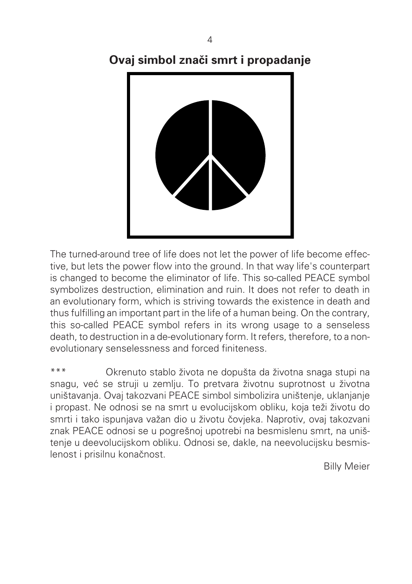# **Ovaj simbol znači smrt i propadanje**



The turned-around tree of life does not let the power of life become effective, but lets the power flow into the ground. In that way life's counterpart is changed to become the eliminator of life. This so-called PEACE symbol symbolizes destruction, elimination and ruin. It does not refer to death in an evolutionary form, which is striving towards the existence in death and thus fulfilling an important part in the life of a human being. On the contrary, this so-called PEACE symbol refers in its wrong usage to a senseless death, to destruction in a de-evolutionary form. It refers, therefore, to a nonevolutionary senselessness and forced finiteness.

\*\*\* Okrenuto stablo života ne dopušta da životna snaga stupi na snagu, vec´ se struji u zemlju. To pretvara životnu suprotnost u životna uništavanja. Ovaj takozvani PEACE simbol simbolizira uništenje, uklanjanje i propast. Ne odnosi se na smrt u evolucijskom obliku, koja teži životu do smrti i tako ispunjava važan dio u životu čovjeka. Naprotiv, ovaj takozvani znak PEACE odnosi se u pogrešnoj upotrebi na besmislenu smrt, na uništenje u deevolucijskom obliku. Odnosi se, dakle, na neevolucijsku besmislenost i prisilnu konačnost.

Billy Meier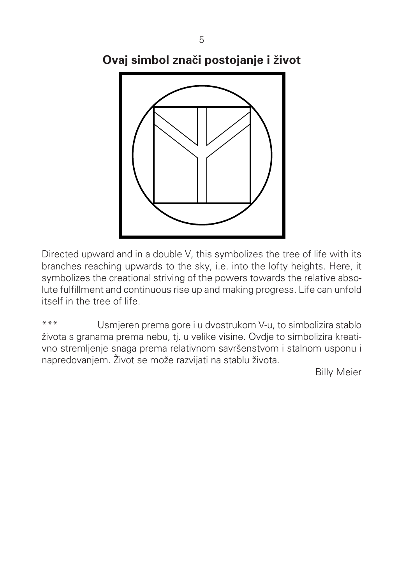5

**Ovaj simbol znacˇi postojanje i život**



Directed upward and in a double V, this symbolizes the tree of life with its branches reaching upwards to the sky, i.e. into the lofty heights. Here, it symbolizes the creational striving of the powers towards the relative absolute fulfillment and continuous rise up and making progress. Life can unfold itself in the tree of life.

\*\*\* Usmjeren prema gore i u dvostrukom V-u, to simbolizira stablo života s granama prema nebu, tj. u velike visine. Ovdje to simbolizira kreativno stremljenje snaga prema relativnom savršenstvom i stalnom usponu i napredovanjem. Život se može razvijati na stablu života.

Billy Meier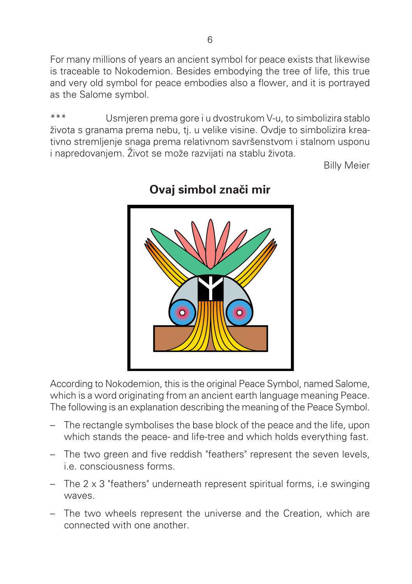For many millions of years an ancient symbol for peace exists that likewise is traceable to Nokodemion. Besides embodying the tree of life, this true and very old symbol for peace embodies also a flower, and it is portrayed as the Salome symbol.

\*\*\* Usmjeren prema gore i u dvostrukom V-u, to simbolizira stablo života s granama prema nebu, tj. u velike visine. Ovdje to simbolizira kreativno stremljenje snaga prema relativnom savršenstvom i stalnom usponu i napredovanjem. Život se može razvijati na stablu života.

Billy Meier



## **Ovaj simbol znači mir**

According to Nokodemion, this is the original Peace Symbol, named Salome, which is a word originating from an ancient earth language meaning Peace. The following is an explanation describing the meaning of the Peace Symbol.

- The rectangle symbolises the base block of the peace and the life, upon which stands the peace- and life-tree and which holds everything fast.
- The two green and five reddish "feathers" represent the seven levels, i.e. consciousness forms.
- The 2 x 3 "feathers" underneath represent spiritual forms, i.e swinging waves.
- The two wheels represent the universe and the Creation, which are connected with one another.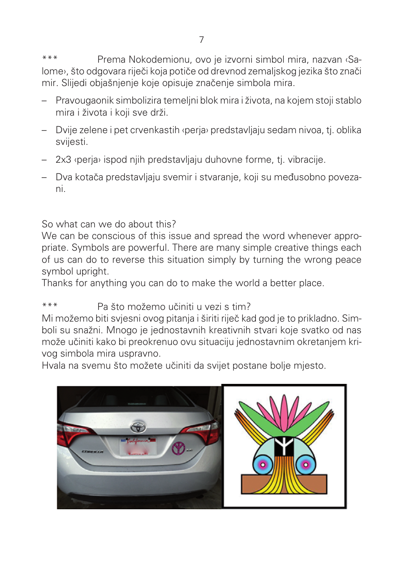\*\*\* Prema Nokodemionu, ovo je izvorni simbol mira, nazvan ‹Salome», što odgovara riječi koja potiče od drevnod zemaljskog jezika što znači mir. Slijedi objašnjenje koje opisuje značenje simbola mira.

- Pravougaonik simbolizira temeljni blok mira i života, na kojem stoji stablo mira i života i koji sve drži.
- Dvije zelene i pet crvenkastih ‹perja› predstavljaju sedam nivoa, tj. oblika svijesti.
- 2x3 ‹perja› ispod njih predstavljaju duhovne forme, tj. vibracije.
- Dva kotacˇa predstavljaju svemir i stvaranje, koji su med¯usobno povezani.

So what can we do about this?

We can be conscious of this issue and spread the word whenever appropriate. Symbols are powerful. There are many simple creative things each of us can do to reverse this situation simply by turning the wrong peace symbol upright.

Thanks for anything you can do to make the world a better place.

### \*\*\* Pa što možemo učiniti u vezi s tim?

Mi možemo biti svjesni ovog pitanja i širiti riječ kad god je to prikladno. Simboli su snažni. Mnogo je jednostavnih kreativnih stvari koje svatko od nas može učiniti kako bi preokrenuo ovu situaciju jednostavnim okretanjem krivog simbola mira uspravno.

Hvala na svemu što možete učiniti da svijet postane bolje mjesto.